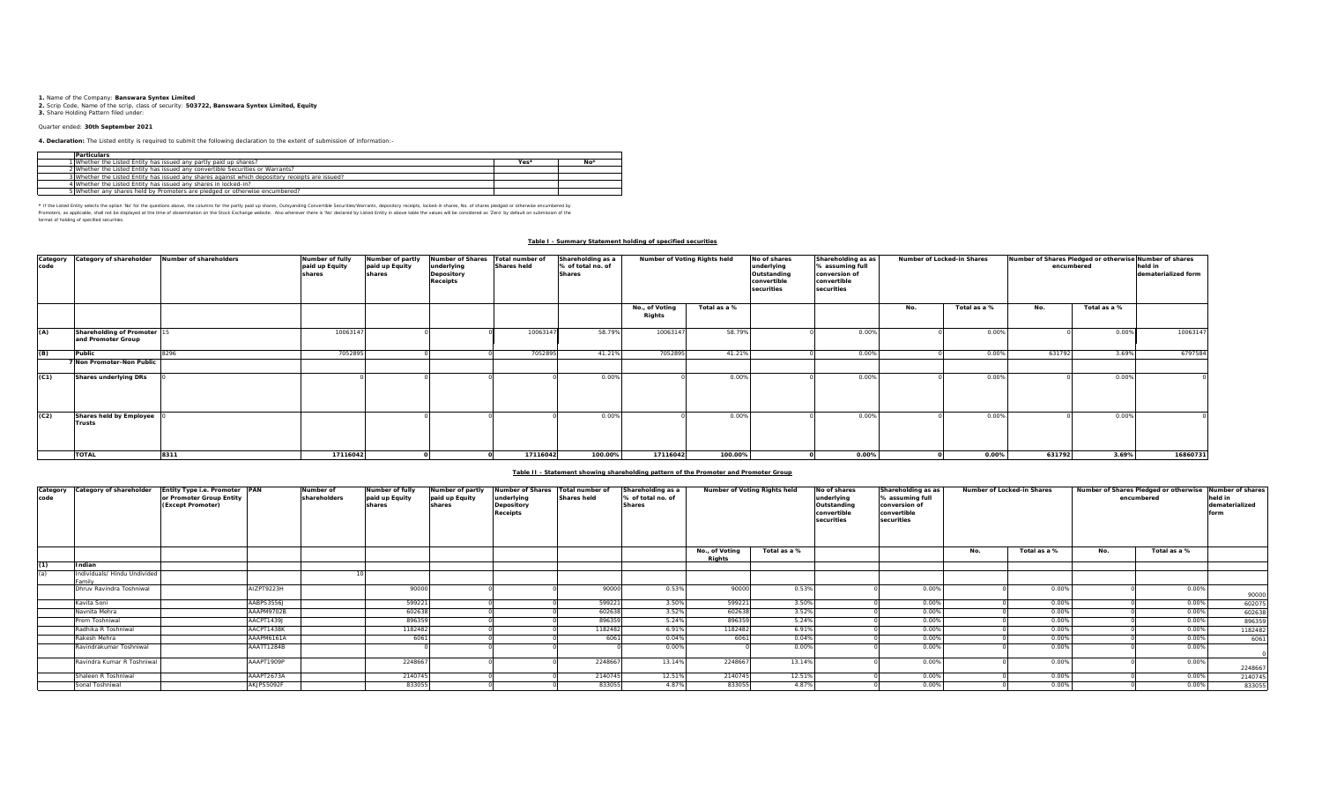**1.** Name of the Company: **Banswara Syntex Limited 2.** Scrip Code, Name of the scrip, class of security: **503722, Banswara Syntex Limited, Equity 3.** Share Holding Pattern filed under:

### Quarter ended: **30th September 2021**

**4. Declaration:** The Listed entity is required to submit the following declaration to the extent of submission of information:-

| Particulars                                                                                     |      |    |
|-------------------------------------------------------------------------------------------------|------|----|
| 1 Whether the Listed Entity has issued any partly paid up shares?                               | Yes: | NΩ |
| 2 Whether the Listed Entity has issued any convertible Securities or Warrants?                  |      |    |
| 3 Whether the Listed Entity has issued any shares against which depository receipts are issued? |      |    |
| 4 Whether the Listed Entity has issued any shares in locked-in?                                 |      |    |
| 5 Whether any shares held by Promoters are pledged or otherwise encumbered?                     |      |    |

\* If the Listel Ends weds the optom War for the equasitom about, the observant for the partly share, Outsyandng Convertible Securities/Warrants, depository receipts, locked-in shares, No. of shares pledged or otherwise of format of holding of specified securities.

# **Table I - Summary Statement holding of specified securities**

| Category<br>code | Category of shareholder                           | Number of shareholders | Number of fully<br>paid up Equity<br>shares | Number of partly<br>paid up Equity<br>shares | <b>Number of Shares</b><br>underlying<br>Depository<br>Receipts | Total number of<br><b>Shares held</b> | Shareholding as a<br>% of total no. of<br><b>Shares</b> | Number of Voting Rights held |              | Shareholding as as<br>No of shares<br>underlying<br>% assuming full<br>Outstanding<br>conversion of<br>convertible<br>convertible<br>securities<br>securities |       | Number of Locked-in Shares |              | Number of Shares Pledged or otherwise Number of shares<br>encumbered |              | held in<br>dematerialized form |
|------------------|---------------------------------------------------|------------------------|---------------------------------------------|----------------------------------------------|-----------------------------------------------------------------|---------------------------------------|---------------------------------------------------------|------------------------------|--------------|---------------------------------------------------------------------------------------------------------------------------------------------------------------|-------|----------------------------|--------------|----------------------------------------------------------------------|--------------|--------------------------------|
|                  |                                                   |                        |                                             |                                              |                                                                 |                                       |                                                         | No., of Voting<br>Rights     | Total as a % |                                                                                                                                                               |       | No.                        | Total as a % | No.                                                                  | Total as a % |                                |
| (A)              | Shareholding of Promoter 15<br>and Promoter Group |                        | 1006314                                     |                                              |                                                                 | 10063147                              | 58.79%                                                  | 10063147                     | 58.79%       |                                                                                                                                                               | 0.00% |                            | 0.00%        |                                                                      | 0.00%        | 10063147                       |
| (B)              | Public                                            | 8296                   | 7052895                                     |                                              |                                                                 | 705289                                | 41.21%                                                  | 705289                       | 41.21%       |                                                                                                                                                               | 0.00% |                            | 0.00%        | 631792                                                               | 3.69%        | 6797584                        |
|                  | 7 Non Promoter-Non Public                         |                        |                                             |                                              |                                                                 |                                       |                                                         |                              |              |                                                                                                                                                               |       |                            |              |                                                                      |              |                                |
| (C1)             | Shares underlying DRs                             |                        |                                             |                                              |                                                                 |                                       | 0.00%                                                   |                              | 0.00%        |                                                                                                                                                               | 0.00% |                            | 0.00%        |                                                                      | 0.00%        |                                |
| (C2)             | Shares held by Employee<br><b>Trusts</b>          |                        |                                             |                                              |                                                                 |                                       | 0.00%                                                   |                              | 0.00%        |                                                                                                                                                               | 0.00% |                            | 0.00%        |                                                                      | 0.00%        |                                |
|                  | <b>TOTAL</b>                                      | 8311                   | 17116042                                    |                                              |                                                                 | 17116042                              | 100.00%                                                 | 17116042                     | 100.00%      |                                                                                                                                                               | 0.00% |                            | 0.00%        | 631792                                                               | 3.69%        | 16860731                       |

## **Table II - Statement showing shareholding pattern of the Promoter and Promoter Group**

| code | Category Category of shareholder       | Entity Type i.e. Promoter PAN<br>or Promoter Group Entity<br>(Except Promoter) |            | Number of<br>shareholders | Number of fully<br>paid up Equity<br>shares | Number of partly<br>paid up Equity<br>shares | <b>Number of Shares</b><br>underlying<br>Depository<br><b>Receipts</b> | Total number of<br>Shares held | Shareholding as a<br>% of total no. of<br><b>Shares</b> | Number of Voting Rights held    |              | No of shares<br>underlying<br>Outstanding<br>convertible<br>securities | Shareholding as as<br>Number of Locked-in Shares<br>% assuming full<br>conversion of<br>convertible<br>securities |     | encumbered   |     | Number of Shares Pledged or otherwise Number of shares<br>held in<br>dematerialized<br>form |         |
|------|----------------------------------------|--------------------------------------------------------------------------------|------------|---------------------------|---------------------------------------------|----------------------------------------------|------------------------------------------------------------------------|--------------------------------|---------------------------------------------------------|---------------------------------|--------------|------------------------------------------------------------------------|-------------------------------------------------------------------------------------------------------------------|-----|--------------|-----|---------------------------------------------------------------------------------------------|---------|
|      |                                        |                                                                                |            |                           |                                             |                                              |                                                                        |                                |                                                         | No., of Voting<br><b>Rights</b> | Total as a % |                                                                        |                                                                                                                   | No. | Total as a % | No. | Total as a %                                                                                |         |
| (1)  | Indian                                 |                                                                                |            |                           |                                             |                                              |                                                                        |                                |                                                         |                                 |              |                                                                        |                                                                                                                   |     |              |     |                                                                                             |         |
| (a)  | Individuals/ Hindu Undivided<br>Eamily |                                                                                |            |                           |                                             |                                              |                                                                        |                                |                                                         |                                 |              |                                                                        |                                                                                                                   |     |              |     |                                                                                             |         |
|      | Dhruy Ravindra Toshniwal               |                                                                                | AIZPT9223H |                           | 90000                                       |                                              |                                                                        | 90000                          | 0.53%                                                   | 90000                           | 0.53%        |                                                                        | 0.00%                                                                                                             |     | 0.00%        |     | 0.00%                                                                                       | 90000   |
|      | Kavita Soni                            |                                                                                | AABPS3556J |                           | 599221                                      |                                              |                                                                        | 599221                         | 3.50%                                                   | 59922                           | 3.50%        |                                                                        | 0.00%                                                                                                             |     | 0.00%        |     | 0.00%                                                                                       | 602075  |
|      | Navnita Mehra                          |                                                                                | AAAPM9702B |                           | 602638                                      |                                              |                                                                        | 602638                         | 3.52%                                                   | 60263                           | 3.52%        |                                                                        | 0.00%                                                                                                             |     | 0.00%        |     | 0.00%                                                                                       | 602638  |
|      | Prem Toshniwal                         |                                                                                | AACPT1439J |                           | 896359                                      |                                              |                                                                        | 896359                         | 5.24%                                                   | 89635                           | 5.24%        |                                                                        | 0.00%                                                                                                             |     | 0.00%        |     | 0.00%                                                                                       | 896359  |
|      | Radhika R Toshniwal                    |                                                                                | AACPT1438K |                           | 1182482                                     |                                              |                                                                        | 1182482                        | 6.91%                                                   | 1182482                         | 6.91%        |                                                                        | 0.00%                                                                                                             |     | 0.00%        |     | 0.00%                                                                                       | 1182482 |
|      | Rakesh Mehra                           |                                                                                | AAAPM6161A |                           | 6061                                        |                                              |                                                                        | 6061                           | 0.04%                                                   | 606                             | 0.049        |                                                                        | 0.00%                                                                                                             |     | 0.00%        |     | 0.00%                                                                                       | 6061    |
|      | Ravindrakumar Toshniwal                |                                                                                | AAATT1284B |                           |                                             |                                              |                                                                        |                                | 0.00%                                                   |                                 | 0.009        |                                                                        | 0.00%                                                                                                             |     | 0.00%        |     | 0.00%                                                                                       |         |
|      | Ravindra Kumar R Toshniwa              |                                                                                | AAAPT1909P |                           | 2248667                                     |                                              |                                                                        | 2248667                        | 13.14%                                                  | 224866                          | 13.14%       |                                                                        | 0.00%                                                                                                             |     | 0.00%        |     | 0.00%                                                                                       | 2248667 |
|      | Shaleen R Toshniwal                    |                                                                                | AAAPT2673A |                           | 2140745                                     |                                              |                                                                        | 2140745                        | 12.51%                                                  | 2140745                         | 12.51%       |                                                                        | 0.00%                                                                                                             |     | 0.00%        |     | 0.00%                                                                                       | 2140745 |
|      | Sonal Toshniwal                        |                                                                                | AKJPS5092F |                           | 833055                                      |                                              |                                                                        | 833055                         | 4.87%                                                   | 83305                           | 4.87%        |                                                                        | 0.00%                                                                                                             |     | 0.00%        |     | 0.00%                                                                                       | 833055  |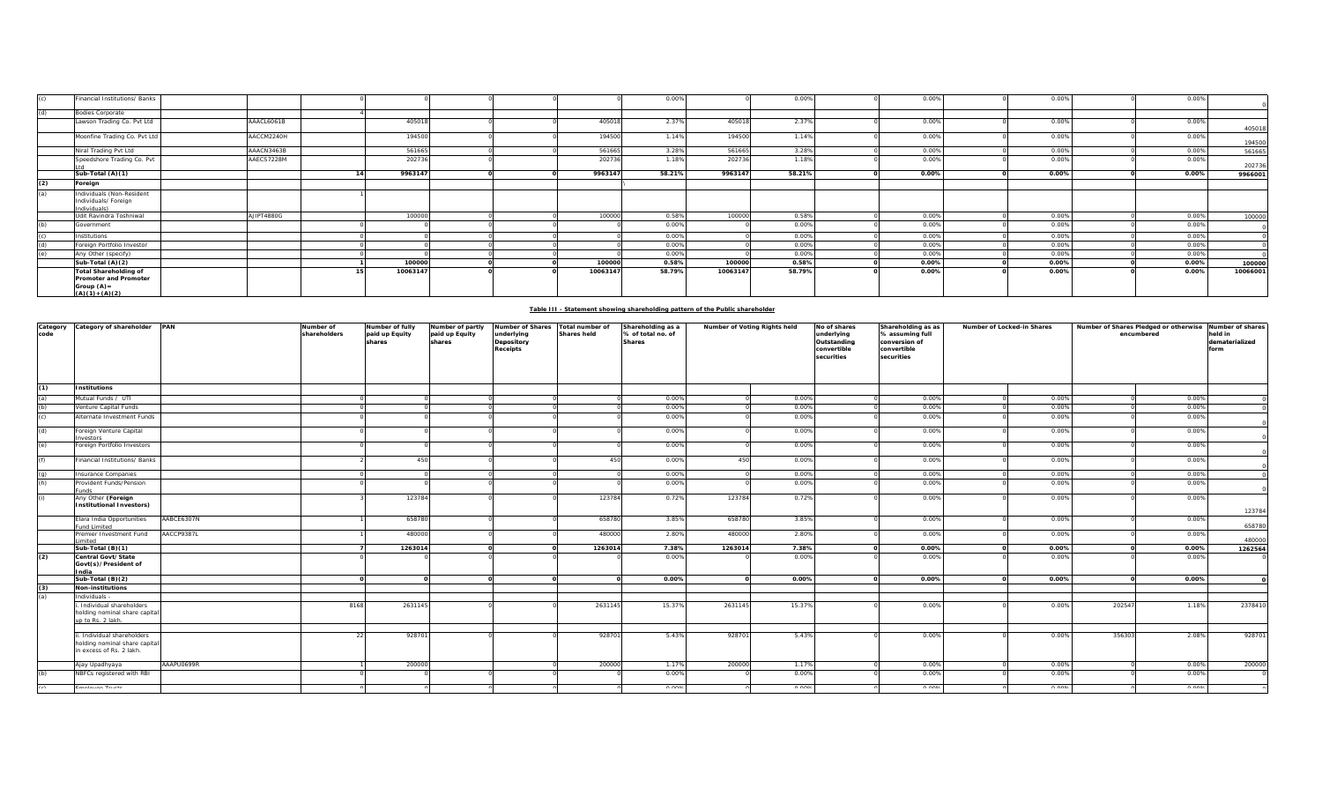| (c) | Financial Institutions/ Banks                                                             |            |          |  |          | 0.00%  |          | 0.00%  | 0.00% | 0.00% | 0.00% |          |
|-----|-------------------------------------------------------------------------------------------|------------|----------|--|----------|--------|----------|--------|-------|-------|-------|----------|
| (d) | <b>Bodies Corporate</b>                                                                   |            |          |  |          |        |          |        |       |       |       |          |
|     | Lawson Trading Co. Pvt Ltd                                                                | AAACL6061B | 40501    |  | 40501    | 2.379  | 40501    | 2.37%  | 0.00% | 0.00% | 0.00% | 405018   |
|     | Moonfine Trading Co. Pvt Ltd                                                              | AACCM2240H | 194500   |  | 194500   | 1.14%  | 194500   | 1.14%  | 0.00% | 0.00% | 0.00% | 194500   |
|     | Niral Trading Pvt Ltd                                                                     | AAACN3463B | 561665   |  | 561665   | 3.28%  | 561665   | 3.28%  | 0.00% | 0.00% | 0.00% | 56166    |
|     | Speedshore Trading Co. Pvt                                                                | AAECS7228M | 202736   |  | 202736   | 1.18%  | 202736   | 1.18%  | 0.00% | 0.00% | 0.00% | 20273    |
|     | Sub-Total (A)(1)                                                                          |            | 9963147  |  | 9963147  | 58.21% | 9963147  | 58.21% | 0.00% | 0.00% | 0.00% | 996600   |
| (2) | Foreign                                                                                   |            |          |  |          |        |          |        |       |       |       |          |
| (a) | Individuals (Non-Resident<br>Individuals/ Foreign<br>Individuals)                         |            |          |  |          |        |          |        |       |       |       |          |
|     | Udit Ravindra Toshniwal                                                                   | AJIPT4880G | 100000   |  | 100000   | 0.58%  | 100000   | 0.58%  | 0.00% | 0.00% | 0.00% | 100000   |
| (b) | Government                                                                                |            |          |  |          | 0.00%  |          | 0.00%  | 0.00% | 0.00% | 0.00% |          |
| (c) | Institutions                                                                              |            |          |  |          | 0.00%  |          | 0.00%  | 0.00% | 0.00% | 0.00% |          |
| (d) | Foreign Portfolio Investor                                                                |            |          |  |          | 0.00%  |          | 0.00%  | 0.00% | 0.00% | 0.00% |          |
| (e) | Any Other (specify)                                                                       |            |          |  |          | 0.00%  |          | 0.00%  | 0.00% | 0.00% | 0.00% |          |
|     | Sub-Total (A)(2)                                                                          |            | 100000   |  | 100000   | 0.58%  | 100000   | 0.58%  | 0.00% | 0.00% | 0.00% | 100000   |
|     | <b>Total Shareholding of</b><br>Promoter and Promoter<br>Group $(A)$ =<br>$(A)(1)+(A)(2)$ |            | 10063147 |  | 10063147 | 58.79% | 10063147 | 58.79% | 0.00% | 0.00% | 0.00% | 10066001 |

|                  | Table III - Statement showing shareholding pattern of the Public shareholder         |            |                           |         |  |  |         |               |         |        |  |               |               |          |       |                                             |                                              |                                                                 |                                |                                                         |                              |  |                                                                        |                                                                                     |                            |                                                     |  |                                                       |
|------------------|--------------------------------------------------------------------------------------|------------|---------------------------|---------|--|--|---------|---------------|---------|--------|--|---------------|---------------|----------|-------|---------------------------------------------|----------------------------------------------|-----------------------------------------------------------------|--------------------------------|---------------------------------------------------------|------------------------------|--|------------------------------------------------------------------------|-------------------------------------------------------------------------------------|----------------------------|-----------------------------------------------------|--|-------------------------------------------------------|
| Category<br>code | Category of shareholder                                                              | PAN        | Number of<br>shareholders |         |  |  |         |               |         |        |  |               |               |          |       | Number of fully<br>paid up Equity<br>shares | Number of partly<br>paid up Equity<br>shares | <b>Number of Shares</b><br>underlying<br>Depository<br>Receipts | Total number of<br>Shares held | Shareholding as a<br>% of total no. of<br><b>Shares</b> | Number of Voting Rights held |  | No of shares<br>underlying<br>Outstanding<br>convertible<br>securities | Shareholding as as<br>% assuming full<br>conversion of<br>convertible<br>securities | Number of Locked-in Shares | Number of Shares Pledged or otherwise<br>encumbered |  | Number of shares<br>held in<br>dematerialized<br>form |
| (1)              | <b>Institutions</b>                                                                  |            |                           |         |  |  |         |               |         |        |  |               |               |          |       |                                             |                                              |                                                                 |                                |                                                         |                              |  |                                                                        |                                                                                     |                            |                                                     |  |                                                       |
| (a)              | Mutual Funds / UTI                                                                   |            |                           |         |  |  |         | 0.00%         |         | 0.00%  |  | 0.00%         | 0.00%         |          | 0.00% |                                             |                                              |                                                                 |                                |                                                         |                              |  |                                                                        |                                                                                     |                            |                                                     |  |                                                       |
| (b)              | Venture Capital Funds                                                                |            |                           |         |  |  |         | 0.00%         |         | 0.00%  |  | 0.00%         | 0.00%         |          | 0.00% |                                             |                                              |                                                                 |                                |                                                         |                              |  |                                                                        |                                                                                     |                            |                                                     |  |                                                       |
| (c)              | Alternate Investment Funds                                                           |            |                           |         |  |  |         | 0.00%         |         | 0.00%  |  | 0.00%         | 0.00%         |          | 0.00% |                                             |                                              |                                                                 |                                |                                                         |                              |  |                                                                        |                                                                                     |                            |                                                     |  |                                                       |
| (d)              | oreign Venture Capital                                                               |            |                           |         |  |  |         | 0.00%         |         | 0.00%  |  | 0.00%         | 0.00%         |          | 0.00% |                                             |                                              |                                                                 |                                |                                                         |                              |  |                                                                        |                                                                                     |                            |                                                     |  |                                                       |
| (e)              | <b>vestors</b><br>Foreign Portfolio Investors                                        |            |                           |         |  |  |         | 0.00%         |         | 0.00%  |  | 0.00%         | 0.00%         |          | 0.00% |                                             |                                              |                                                                 |                                |                                                         |                              |  |                                                                        |                                                                                     |                            |                                                     |  |                                                       |
| (f)              | Financial Institutions/ Banks                                                        |            |                           | 450     |  |  | 450     | 0.00%         | 450     | 0.00%  |  | 0.00%         | 0.00%         |          | 0.00% |                                             |                                              |                                                                 |                                |                                                         |                              |  |                                                                        |                                                                                     |                            |                                                     |  |                                                       |
| (a)              | Insurance Companies                                                                  |            |                           |         |  |  |         | 0.00%         |         | 0.00%  |  | 0.00%         | 0.00%         |          | 0.00% |                                             |                                              |                                                                 |                                |                                                         |                              |  |                                                                        |                                                                                     |                            |                                                     |  |                                                       |
| (h)              | Provident Funds/Pension<br>unds                                                      |            |                           |         |  |  |         | 0.00%         |         | 0.00%  |  | 0.00%         | 0.00%         |          | 0.00% |                                             |                                              |                                                                 |                                |                                                         |                              |  |                                                                        |                                                                                     |                            |                                                     |  |                                                       |
|                  | Any Other (Foreign<br><b>Institutional Investors)</b>                                |            |                           | 123784  |  |  | 123784  | 0.72%         | 123784  | 0.72%  |  | 0.00%         | 0.00%         |          | 0.00% | 123784                                      |                                              |                                                                 |                                |                                                         |                              |  |                                                                        |                                                                                     |                            |                                                     |  |                                                       |
|                  | Elara India Opportunities<br>Fund Limited                                            | AABCE6307N |                           | 658780  |  |  | 658780  | 3.85%         | 658780  | 3.85%  |  | 0.00%         | 0.00%         |          | 0.00% | 658780                                      |                                              |                                                                 |                                |                                                         |                              |  |                                                                        |                                                                                     |                            |                                                     |  |                                                       |
|                  | Premier Investment Fund<br>imited                                                    | AACCP9387L |                           | 480000  |  |  | 480000  | 2.80%         | 480000  | 2.80%  |  | 0.00%         | 0.00%         |          | 0.00% | 480000                                      |                                              |                                                                 |                                |                                                         |                              |  |                                                                        |                                                                                     |                            |                                                     |  |                                                       |
|                  | Sub-Total (B)(1)                                                                     |            |                           | 1263014 |  |  | 1263014 | 7.38%         | 1263014 | 7.38%  |  | 0.00%         | 0.00%         | $\Omega$ | 0.00% | 1262564                                     |                                              |                                                                 |                                |                                                         |                              |  |                                                                        |                                                                                     |                            |                                                     |  |                                                       |
| (2)              | Central Govt/State<br>Govt(s)/President of<br>India                                  |            |                           |         |  |  |         | 0.00%         |         | 0.00%  |  | 0.00%         | 0.00%         |          | 0.00% |                                             |                                              |                                                                 |                                |                                                         |                              |  |                                                                        |                                                                                     |                            |                                                     |  |                                                       |
|                  | Sub-Total (B)(2)                                                                     |            |                           |         |  |  |         | 0.00%         |         | 0.00%  |  | 0.00%         | 0.00%         |          | 0.00% |                                             |                                              |                                                                 |                                |                                                         |                              |  |                                                                        |                                                                                     |                            |                                                     |  |                                                       |
| (3)              | <b>Non-institutions</b>                                                              |            |                           |         |  |  |         |               |         |        |  |               |               |          |       |                                             |                                              |                                                                 |                                |                                                         |                              |  |                                                                        |                                                                                     |                            |                                                     |  |                                                       |
| (a)              | Individuals                                                                          |            |                           |         |  |  |         |               |         |        |  |               |               |          |       |                                             |                                              |                                                                 |                                |                                                         |                              |  |                                                                        |                                                                                     |                            |                                                     |  |                                                       |
|                  | Individual shareholders<br>holding nominal share capital<br>up to Rs. 2 lakh.        |            | 8168                      | 2631145 |  |  | 2631145 | 15.37%        | 2631145 | 15.37% |  | 0.00%         | 0.00%         | 202547   | 1.18% | 2378410                                     |                                              |                                                                 |                                |                                                         |                              |  |                                                                        |                                                                                     |                            |                                                     |  |                                                       |
|                  |                                                                                      |            |                           |         |  |  |         |               |         |        |  |               |               |          |       |                                             |                                              |                                                                 |                                |                                                         |                              |  |                                                                        |                                                                                     |                            |                                                     |  |                                                       |
|                  | Individual shareholders<br>holding nominal share capital<br>in excess of Rs. 2 lakh. |            |                           | 928701  |  |  | 928701  | 5.43%         | 928701  | 5.43%  |  | 0.00%         | 0.00%         | 356303   | 2.08% | 92870                                       |                                              |                                                                 |                                |                                                         |                              |  |                                                                        |                                                                                     |                            |                                                     |  |                                                       |
|                  | Ajay Upadhyaya                                                                       | AAAPU0699R |                           | 200000  |  |  | 200000  | 1.17%         | 200000  | 1.17%  |  | 0.00%         | 0.00%         |          | 0.00% | 200000                                      |                                              |                                                                 |                                |                                                         |                              |  |                                                                        |                                                                                     |                            |                                                     |  |                                                       |
| (b)              | NBFCs registered with RBI                                                            |            |                           |         |  |  |         | 0.00%         |         | 0.00%  |  | 0.00%         | 0.00%         |          | 0.00% |                                             |                                              |                                                                 |                                |                                                         |                              |  |                                                                        |                                                                                     |                            |                                                     |  |                                                       |
|                  | <b>Casalacas Tecnis</b>                                                              |            |                           |         |  |  |         | $\sim$ $\sim$ |         | n nnn  |  | $\sim$ $\sim$ | $\sim$ $\sim$ |          | 0.000 |                                             |                                              |                                                                 |                                |                                                         |                              |  |                                                                        |                                                                                     |                            |                                                     |  |                                                       |